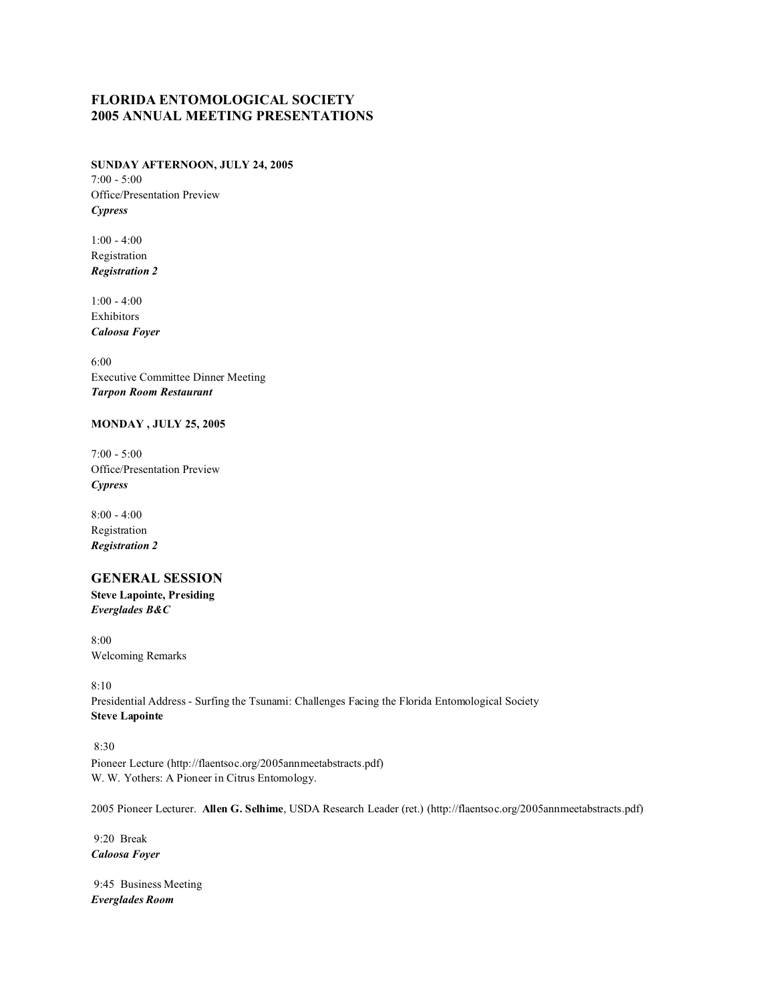# **FLORIDA ENTOMOLOGICAL SOCIETY 2005 ANNUAL MEETING PRESENTATIONS**

### **SUNDAY AFTERNOON, JULY 24, 2005** 7:00 - 5:00 Office/Presentation Preview *Cypress*

1:00 - 4:00 Registration *Registration 2*

1:00 - 4:00 Exhibitors *Caloosa Foyer*

6:00 Executive Committee Dinner Meeting *Tarpon Room Restaurant*

### **MONDAY , JULY 25, 2005**

7:00 - 5:00 Office/Presentation Preview *Cypress*

8:00 - 4:00 Registration *Registration 2*

# **GENERAL SESSION**

**Steve Lapointe, Presiding** *Everglades B&C*

8:00 Welcoming Remarks

8:10 Presidential Address - Surfing the Tsunami: Challenges Facing the Florida Entomological Society **Steve Lapointe**

#### 8:30

Pioneer Lecture (http://flaentsoc.org/2005annmeetabstracts.pdf) W. W. Yothers: A Pioneer in Citrus Entomology.

2005 Pioneer Lecturer. **Allen G. Selhime**, USDA Research Leader (ret.) (http://flaentsoc.org/2005annmeetabstracts.pdf)

 9:20 Break *Caloosa Foyer*

 9:45 Business Meeting *Everglades Room*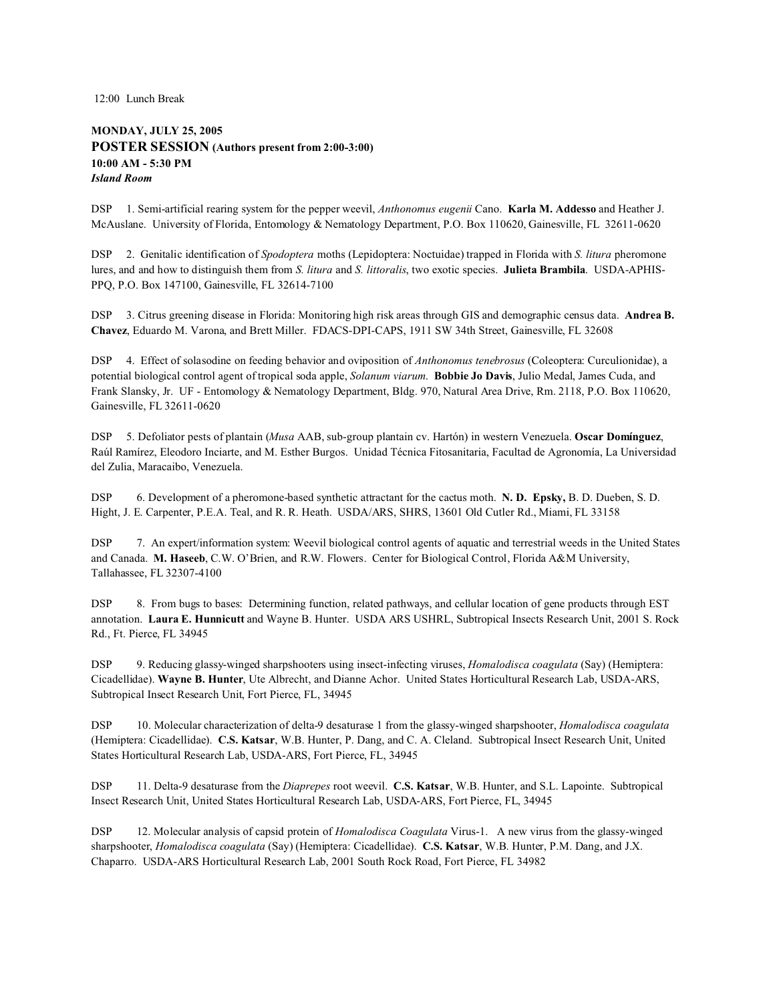12:00 Lunch Break

## **MONDAY, JULY 25, 2005 POSTER SESSION (Authors present from 2:00-3:00) 10:00 AM - 5:30 PM** *Island Room*

DSP 1. Semi-artificial rearing system for the pepper weevil, *Anthonomus eugenii* Cano. **Karla M. Addesso** and Heather J. McAuslane. University of Florida, Entomology & Nematology Department, P.O. Box 110620, Gainesville, FL 32611-0620

DSP 2. Genitalic identification of *Spodoptera* moths (Lepidoptera: Noctuidae) trapped in Florida with *S. litura* pheromone lures, and and how to distinguish them from *S. litura* and *S. littoralis*, two exotic species. **Julieta Brambila**. USDA-APHIS-PPQ, P.O. Box 147100, Gainesville, FL 32614-7100

DSP 3. Citrus greening disease in Florida: Monitoring high risk areas through GIS and demographic census data. **Andrea B. Chavez**, Eduardo M. Varona, and Brett Miller. FDACS-DPI-CAPS, 1911 SW 34th Street, Gainesville, FL 32608

DSP 4. Effect of solasodine on feeding behavior and oviposition of *Anthonomus tenebrosus* (Coleoptera: Curculionidae), a potential biological control agent of tropical soda apple, *Solanum viarum*. **Bobbie Jo Davis**, Julio Medal, James Cuda, and Frank Slansky, Jr. UF - Entomology & Nematology Department, Bldg. 970, Natural Area Drive, Rm. 2118, P.O. Box 110620, Gainesville, FL 32611-0620

DSP 5. Defoliator pests of plantain (*Musa* AAB, sub-group plantain cv. Hartón) in western Venezuela. **Oscar Domínguez**, Raúl Ramírez, Eleodoro Inciarte, and M. Esther Burgos. Unidad Técnica Fitosanitaria, Facultad de Agronomía, La Universidad del Zulia, Maracaibo, Venezuela.

DSP 6. Development of a pheromone-based synthetic attractant for the cactus moth. **N. D. Epsky,** B. D. Dueben, S. D. Hight, J. E. Carpenter, P.E.A. Teal, and R. R. Heath. USDA/ARS, SHRS, 13601 Old Cutler Rd., Miami, FL 33158

DSP 7. An expert/information system: Weevil biological control agents of aquatic and terrestrial weeds in the United States and Canada. **M. Haseeb**, C.W. O'Brien, and R.W. Flowers. Center for Biological Control, Florida A&M University, Tallahassee, FL 32307-4100

DSP 8. From bugs to bases: Determining function, related pathways, and cellular location of gene products through EST annotation. **Laura E. Hunnicutt** and Wayne B. Hunter. USDA ARS USHRL, Subtropical Insects Research Unit, 2001 S. Rock Rd., Ft. Pierce, FL 34945

DSP 9. Reducing glassy-winged sharpshooters using insect-infecting viruses, *Homalodisca coagulata* (Say) (Hemiptera: Cicadellidae). **Wayne B. Hunter**, Ute Albrecht, and Dianne Achor. United States Horticultural Research Lab, USDA-ARS, Subtropical Insect Research Unit, Fort Pierce, FL, 34945

DSP 10. Molecular characterization of delta-9 desaturase 1 from the glassy-winged sharpshooter, *Homalodisca coagulata* (Hemiptera: Cicadellidae). **C.S. Katsar**, W.B. Hunter, P. Dang, and C. A. Cleland. Subtropical Insect Research Unit, United States Horticultural Research Lab, USDA-ARS, Fort Pierce, FL, 34945

DSP 11. Delta-9 desaturase from the *Diaprepes* root weevil. **C.S. Katsar**, W.B. Hunter, and S.L. Lapointe. Subtropical Insect Research Unit, United States Horticultural Research Lab, USDA-ARS, Fort Pierce, FL, 34945

DSP 12. Molecular analysis of capsid protein of *Homalodisca Coagulata* Virus-1. A new virus from the glassy-winged sharpshooter, *Homalodisca coagulata* (Say) (Hemiptera: Cicadellidae). **C.S. Katsar**, W.B. Hunter, P.M. Dang, and J.X. Chaparro. USDA-ARS Horticultural Research Lab, 2001 South Rock Road, Fort Pierce, FL 34982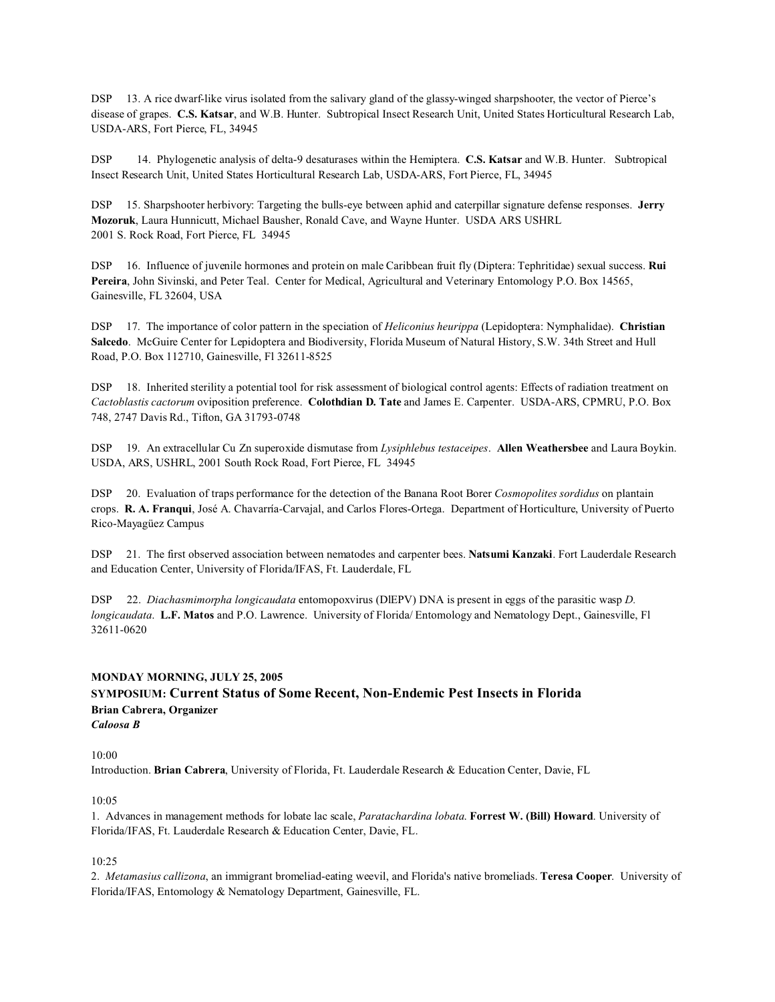DSP 13. A rice dwarf-like virus isolated from the salivary gland of the glassy-winged sharpshooter, the vector of Pierce's disease of grapes. **C.S. Katsar**, and W.B. Hunter. Subtropical Insect Research Unit, United States Horticultural Research Lab, USDA-ARS, Fort Pierce, FL, 34945

DSP 14. Phylogenetic analysis of delta-9 desaturases within the Hemiptera. **C.S. Katsar** and W.B. Hunter. Subtropical Insect Research Unit, United States Horticultural Research Lab, USDA-ARS, Fort Pierce, FL, 34945

DSP 15. Sharpshooter herbivory: Targeting the bulls-eye between aphid and caterpillar signature defense responses. **Jerry Mozoruk**, Laura Hunnicutt, Michael Bausher, Ronald Cave, and Wayne Hunter. USDA ARS USHRL 2001 S. Rock Road, Fort Pierce, FL 34945

DSP 16. Influence of juvenile hormones and protein on male Caribbean fruit fly (Diptera: Tephritidae) sexual success. **Rui** Pereira, John Sivinski, and Peter Teal. Center for Medical, Agricultural and Veterinary Entomology P.O. Box 14565, Gainesville, FL 32604, USA

DSP 17. The importance of color pattern in the speciation of *Heliconius heurippa* (Lepidoptera: Nymphalidae). **Christian Salcedo**. McGuire Center for Lepidoptera and Biodiversity, Florida Museum of Natural History, S.W. 34th Street and Hull Road, P.O. Box 112710, Gainesville, Fl 32611-8525

DSP 18. Inherited sterility a potential tool for risk assessment of biological control agents: Effects of radiation treatment on *Cactoblastis cactorum* oviposition preference. **Colothdian D. Tate** and James E. Carpenter. USDA-ARS, CPMRU, P.O. Box 748, 2747 Davis Rd., Tifton, GA 31793-0748

DSP 19. An extracellular Cu Zn superoxide dismutase from *Lysiphlebus testaceipes*. **Allen Weathersbee** and Laura Boykin. USDA, ARS, USHRL, 2001 South Rock Road, Fort Pierce, FL 34945

DSP 20. Evaluation of traps performance for the detection of the Banana Root Borer *Cosmopolites sordidus* on plantain crops. **R. A. Franqui**, José A. Chavarría-Carvajal, and Carlos Flores-Ortega. Department of Horticulture, University of Puerto Rico-Mayagüez Campus

DSP 21. The first observed association between nematodes and carpenter bees. **Natsumi Kanzaki**. Fort Lauderdale Research and Education Center, University of Florida/IFAS, Ft. Lauderdale, FL

DSP 22. *Diachasmimorpha longicaudata* entomopoxvirus (DlEPV) DNA is present in eggs of the parasitic wasp *D. longicaudata*. **L.F. Matos** and P.O. Lawrence. University of Florida/ Entomology and Nematology Dept., Gainesville, Fl 32611-0620

# **MONDAY MORNING, JULY 25, 2005 SYMPOSIUM: Current Status of Some Recent, Non-Endemic Pest Insects in Florida Brian Cabrera, Organizer** *Caloosa B*

10:00

Introduction. **Brian Cabrera**, University of Florida, Ft. Lauderdale Research & Education Center, Davie, FL

#### 10:05

1. Advances in management methods for lobate lac scale, *Paratachardina lobata*. **Forrest W. (Bill) Howard**. University of Florida/IFAS, Ft. Lauderdale Research & Education Center, Davie, FL.

10:25

2. *Metamasius callizona*, an immigrant bromeliad-eating weevil, and Florida's native bromeliads. **Teresa Cooper**. University of Florida/IFAS, Entomology & Nematology Department, Gainesville, FL.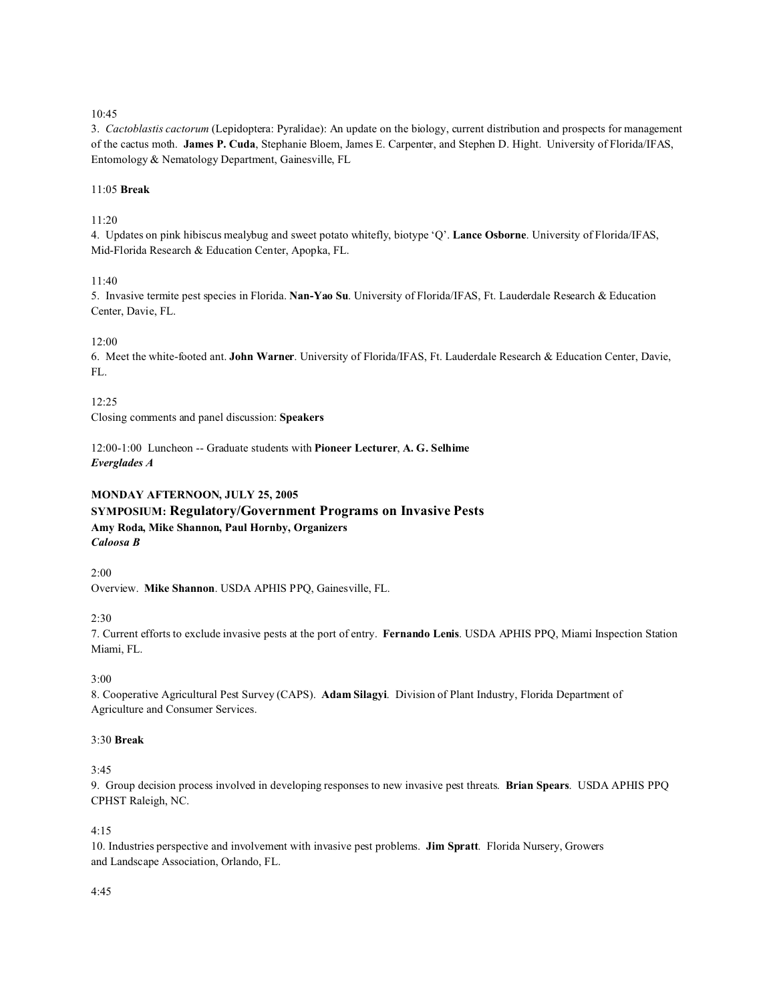3. *Cactoblastis cactorum* (Lepidoptera: Pyralidae): An update on the biology, current distribution and prospects for management of the cactus moth. **James P. Cuda**, Stephanie Bloem, James E. Carpenter, and Stephen D. Hight. University of Florida/IFAS, Entomology & Nematology Department, Gainesville, FL

#### 11:05 **Break**

11:20

4. Updates on pink hibiscus mealybug and sweet potato whitefly, biotype 'Q'. **Lance Osborne**. University of Florida/IFAS, Mid-Florida Research & Education Center, Apopka, FL.

11:40

5. Invasive termite pest species in Florida. **Nan-Yao Su**. University of Florida/IFAS, Ft. Lauderdale Research & Education Center, Davie, FL.

#### 12:00

6. Meet the white-footed ant. **John Warner**. University of Florida/IFAS, Ft. Lauderdale Research & Education Center, Davie, FL.

12:25

Closing comments and panel discussion: **Speakers**

12:00-1:00 Luncheon -- Graduate students with **Pioneer Lecturer**, **A. G. Selhime** *Everglades A*

# **MONDAY AFTERNOON, JULY 25, 2005 SYMPOSIUM: Regulatory/Government Programs on Invasive Pests Amy Roda, Mike Shannon, Paul Hornby, Organizers** *Caloosa B*

2:00

Overview. **Mike Shannon**. USDA APHIS PPQ, Gainesville, FL.

2:30

7. Current efforts to exclude invasive pests at the port of entry. **Fernando Lenis**. USDA APHIS PPQ, Miami Inspection Station Miami, FL.

3:00

8. Cooperative Agricultural Pest Survey (CAPS). **Adam Silagyi**. Division of Plant Industry, Florida Department of Agriculture and Consumer Services.

### 3:30 **Break**

#### 3:45

9. Group decision process involved in developing responses to new invasive pest threats. **Brian Spears**. USDA APHIS PPQ CPHST Raleigh, NC.

#### 4:15

10. Industries perspective and involvement with invasive pest problems. **Jim Spratt**. Florida Nursery, Growers and Landscape Association, Orlando, FL.

#### 4:45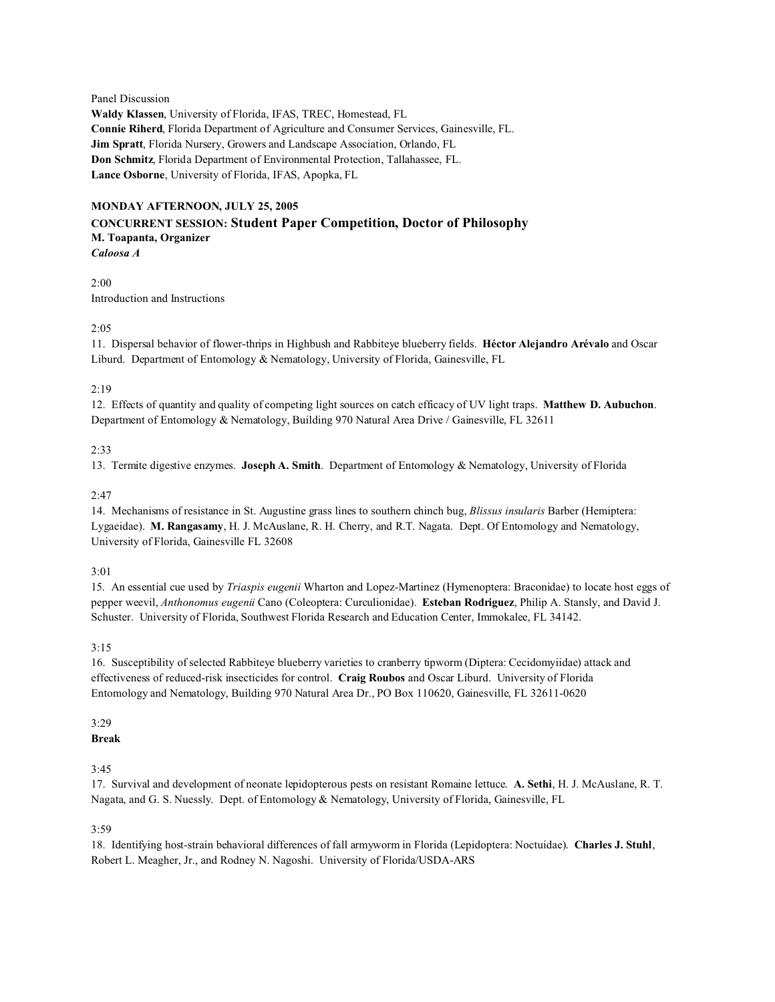#### Panel Discussion

**Waldy Klassen**, University of Florida, IFAS, TREC, Homestead, FL **Connie Riherd**, Florida Department of Agriculture and Consumer Services, Gainesville, FL. **Jim Spratt**, Florida Nursery, Growers and Landscape Association, Orlando, FL **Don Schmitz**, Florida Department of Environmental Protection, Tallahassee, FL. **Lance Osborne**, University of Florida, IFAS, Apopka, FL

# **MONDAY AFTERNOON, JULY 25, 2005 CONCURRENT SESSION: Student Paper Competition, Doctor of Philosophy M. Toapanta, Organizer**

*Caloosa A*

2:00 Introduction and Instructions

#### 2:05

11. Dispersal behavior of flower-thrips in Highbush and Rabbiteye blueberry fields. **Héctor Alejandro Arévalo** and Oscar Liburd. Department of Entomology & Nematology, University of Florida, Gainesville, FL

#### 2:19

12. Effects of quantity and quality of competing light sources on catch efficacy of UV light traps. **Matthew D. Aubuchon**. Department of Entomology & Nematology, Building 970 Natural Area Drive / Gainesville, FL 32611

#### 2:33

13. Termite digestive enzymes. **Joseph A. Smith**. Department of Entomology & Nematology, University of Florida

#### 2:47

14. Mechanisms of resistance in St. Augustine grass lines to southern chinch bug, *Blissus insularis* Barber (Hemiptera: Lygaeidae). **M. Rangasamy**, H. J. McAuslane, R. H. Cherry, and R.T. Nagata. Dept. Of Entomology and Nematology, University of Florida, Gainesville FL 32608

#### 3:01

15. An essential cue used by *Triaspis eugenii* Wharton and Lopez-Martinez (Hymenoptera: Braconidae) to locate host eggs of pepper weevil, *Anthonomus eugenii* Cano (Coleoptera: Curculionidae). **Esteban Rodriguez**, Philip A. Stansly, and David J. Schuster. University of Florida, Southwest Florida Research and Education Center, Immokalee, FL 34142.

#### 3:15

16. Susceptibility of selected Rabbiteye blueberry varieties to cranberry tipworm (Diptera: Cecidomyiidae) attack and effectiveness of reduced-risk insecticides for control. **Craig Roubos** and Oscar Liburd. University of Florida Entomology and Nematology, Building 970 Natural Area Dr., PO Box 110620, Gainesville, FL 32611-0620

### 3:29

### **Break**

3:45

17. Survival and development of neonate lepidopterous pests on resistant Romaine lettuce. **A. Sethi**, H. J. McAuslane, R. T. Nagata, and G. S. Nuessly. Dept. of Entomology & Nematology, University of Florida, Gainesville, FL

#### 3:59

18. Identifying host-strain behavioral differences of fall armyworm in Florida (Lepidoptera: Noctuidae). **Charles J. Stuhl**, Robert L. Meagher, Jr., and Rodney N. Nagoshi. University of Florida/USDA-ARS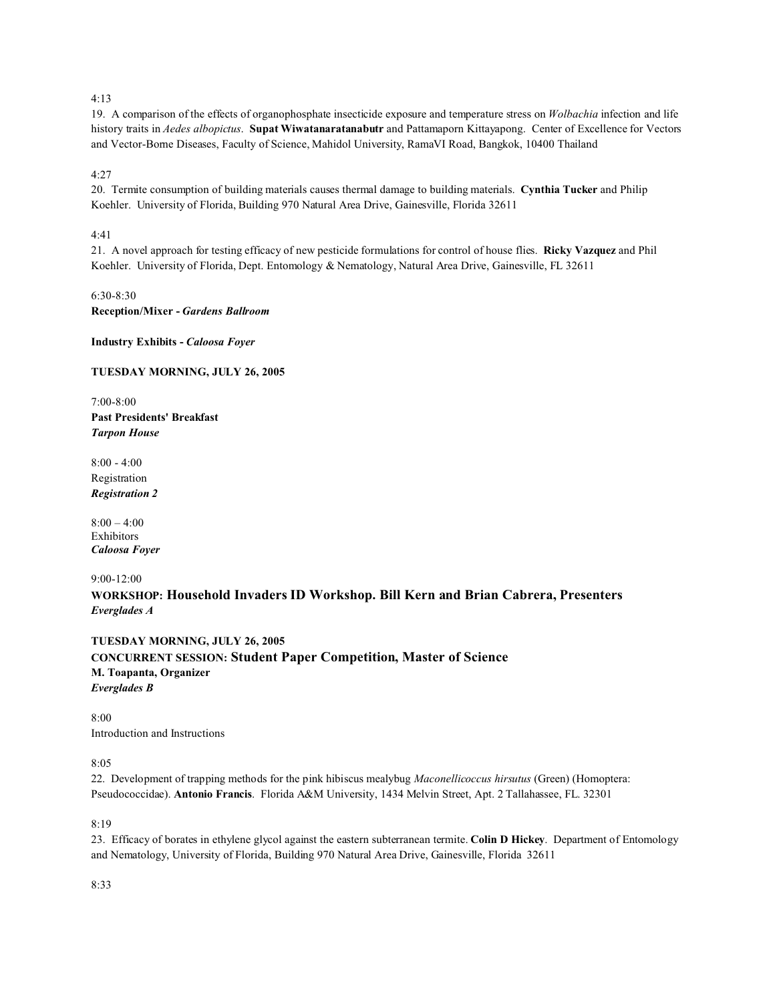19. A comparison of the effects of organophosphate insecticide exposure and temperature stress on *Wolbachia* infection and life history traits in *Aedes albopictus*. **Supat Wiwatanaratanabutr** and Pattamaporn Kittayapong. Center of Excellence for Vectors and Vector-Borne Diseases, Faculty of Science, Mahidol University, RamaVI Road, Bangkok, 10400 Thailand

4:27

20. Termite consumption of building materials causes thermal damage to building materials. **Cynthia Tucker** and Philip Koehler. University of Florida, Building 970 Natural Area Drive, Gainesville, Florida 32611

### 4:41

21. A novel approach for testing efficacy of new pesticide formulations for control of house flies. **Ricky Vazquez** and Phil Koehler. University of Florida, Dept. Entomology & Nematology, Natural Area Drive, Gainesville, FL 32611

6:30-8:30 **Reception/Mixer -** *Gardens Ballroom*

**Industry Exhibits -** *Caloosa Foyer*

#### **TUESDAY MORNING, JULY 26, 2005**

7:00-8:00 **Past Presidents' Breakfast** *Tarpon House*

8:00 - 4:00 Registration *Registration 2*

 $8:00 - 4:00$ Exhibitors *Caloosa Foyer*

9:00-12:00

**WORKSHOP: Household Invaders ID Workshop. Bill Kern and Brian Cabrera, Presenters** *Everglades A*

**TUESDAY MORNING, JULY 26, 2005 CONCURRENT SESSION: Student Paper Competition, Master of Science M. Toapanta, Organizer** *Everglades B*

8:00 Introduction and Instructions

8:05

22. Development of trapping methods for the pink hibiscus mealybug *Maconellicoccus hirsutus* (Green) (Homoptera: Pseudococcidae). **Antonio Francis**. Florida A&M University, 1434 Melvin Street, Apt. 2 Tallahassee, FL. 32301

8:19

23. Efficacy of borates in ethylene glycol against the eastern subterranean termite. **Colin D Hickey**. Department of Entomology and Nematology, University of Florida, Building 970 Natural Area Drive, Gainesville, Florida 32611

8:33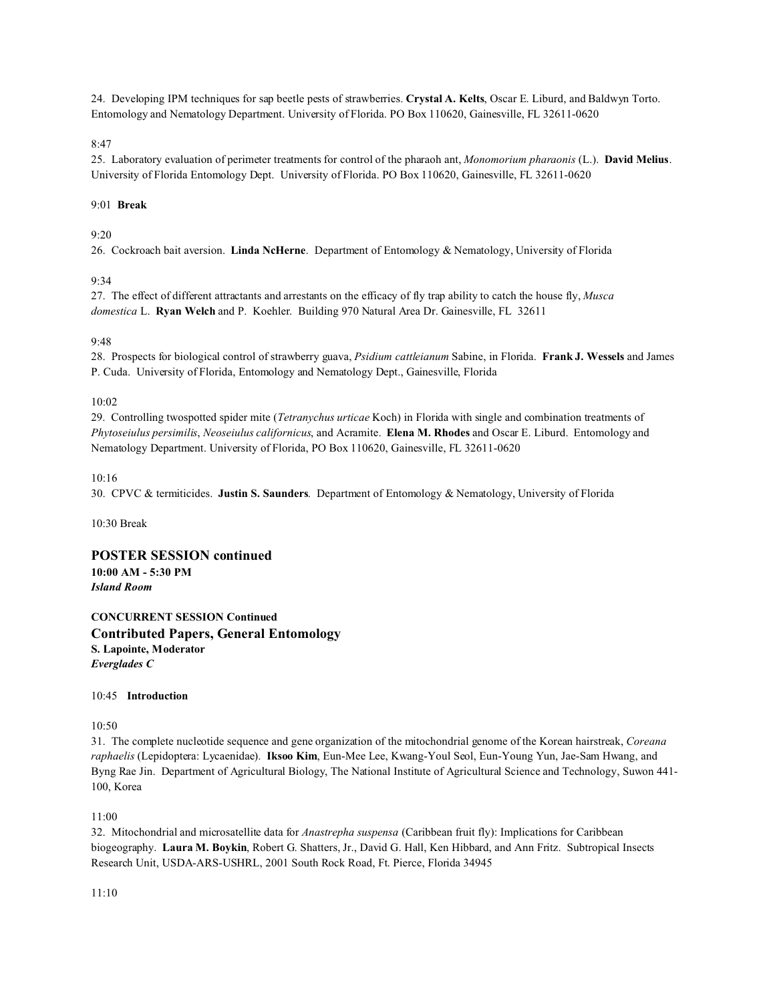24. Developing IPM techniques for sap beetle pests of strawberries. **Crystal A. Kelts**, Oscar E. Liburd, and Baldwyn Torto. Entomology and Nematology Department. University of Florida. PO Box 110620, Gainesville, FL 32611-0620

8:47

25. Laboratory evaluation of perimeter treatments for control of the pharaoh ant, *Monomorium pharaonis* (L.). **David Melius**. University of Florida Entomology Dept. University of Florida. PO Box 110620, Gainesville, FL 32611-0620

#### 9:01 **Break**

#### $9.20$

26. Cockroach bait aversion. **Linda NcHerne**. Department of Entomology & Nematology, University of Florida

#### 9:34

27. The effect of different attractants and arrestants on the efficacy of fly trap ability to catch the house fly, *Musca domestica* L. **Ryan Welch** and P. Koehler. Building 970 Natural Area Dr. Gainesville, FL 32611

#### 9:48

28. Prospects for biological control of strawberry guava, *Psidium cattleianum* Sabine, in Florida. **Frank J. Wessels** and James P. Cuda. University of Florida, Entomology and Nematology Dept., Gainesville, Florida

#### 10:02

29. Controlling twospotted spider mite (*Tetranychus urticae* Koch) in Florida with single and combination treatments of *Phytoseiulus persimilis*, *Neoseiulus californicus*, and Acramite. **Elena M. Rhodes** and Oscar E. Liburd. Entomology and Nematology Department. University of Florida, PO Box 110620, Gainesville, FL 32611-0620

#### 10:16

30. CPVC & termiticides. **Justin S. Saunders**. Department of Entomology & Nematology, University of Florida

10:30 Break

### **POSTER SESSION continued**

**10:00 AM - 5:30 PM** *Island Room*

**CONCURRENT SESSION Continued Contributed Papers, General Entomology S. Lapointe, Moderator** *Everglades C*

#### 10:45 **Introduction**

10:50

31. The complete nucleotide sequence and gene organization of the mitochondrial genome of the Korean hairstreak, *Coreana raphaelis* (Lepidoptera: Lycaenidae). **Iksoo Kim**, Eun-Mee Lee, Kwang-Youl Seol, Eun-Young Yun, Jae-Sam Hwang, and Byng Rae Jin. Department of Agricultural Biology, The National Institute of Agricultural Science and Technology, Suwon 441- 100, Korea

11:00

32. Mitochondrial and microsatellite data for *Anastrepha suspensa* (Caribbean fruit fly): Implications for Caribbean biogeography. **Laura M. Boykin**, Robert G. Shatters, Jr., David G. Hall, Ken Hibbard, and Ann Fritz. Subtropical Insects Research Unit, USDA-ARS-USHRL, 2001 South Rock Road, Ft. Pierce, Florida 34945

11:10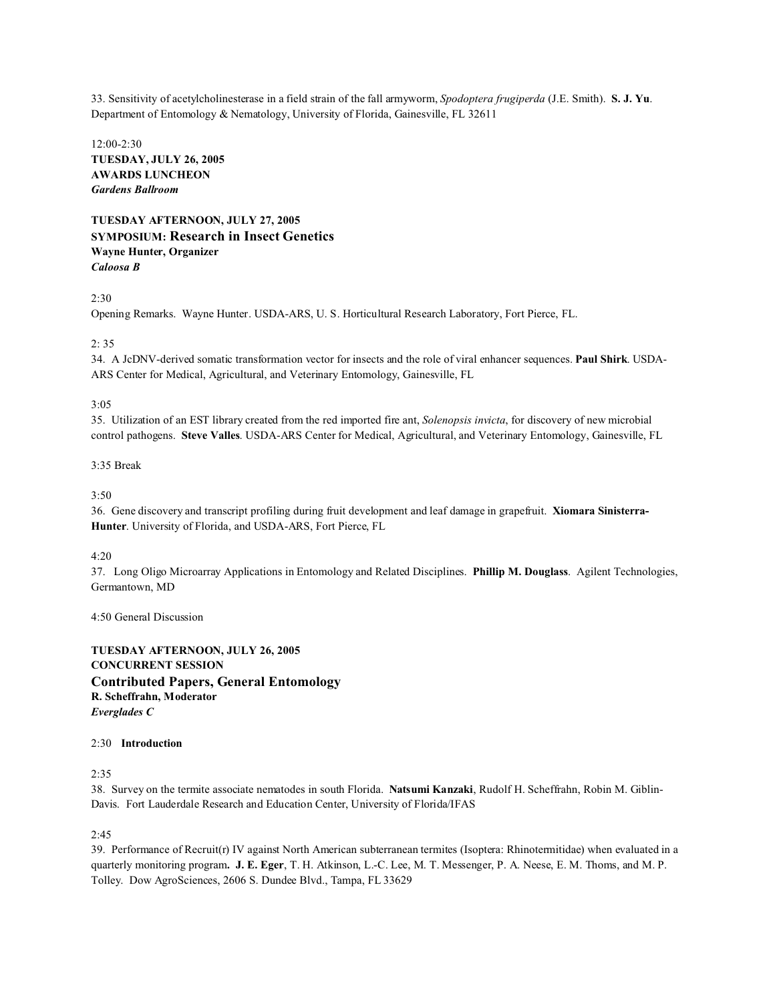33. Sensitivity of acetylcholinesterase in a field strain of the fall armyworm, *Spodoptera frugiperda* (J.E. Smith). **S. J. Yu**. Department of Entomology & Nematology, University of Florida, Gainesville, FL 32611

12:00-2:30 **TUESDAY, JULY 26, 2005 AWARDS LUNCHEON**  *Gardens Ballroom*

**TUESDAY AFTERNOON, JULY 27, 2005 SYMPOSIUM: Research in Insect Genetics Wayne Hunter, Organizer** *Caloosa B*

2:30

Opening Remarks. Wayne Hunter. USDA-ARS, U. S. Horticultural Research Laboratory, Fort Pierce, FL.

#### $2:35$

34. A JcDNV-derived somatic transformation vector for insects and the role of viral enhancer sequences. **Paul Shirk**. USDA-ARS Center for Medical, Agricultural, and Veterinary Entomology, Gainesville, FL

#### 3:05

35. Utilization of an EST library created from the red imported fire ant, *Solenopsis invicta*, for discovery of new microbial control pathogens. **Steve Valles**. USDA-ARS Center for Medical, Agricultural, and Veterinary Entomology, Gainesville, FL

### 3:35 Break

 $3:50$ 

36. Gene discovery and transcript profiling during fruit development and leaf damage in grapefruit. **Xiomara Sinisterra-Hunter**. University of Florida, and USDA-ARS, Fort Pierce, FL

4:20

37. Long Oligo Microarray Applications in Entomology and Related Disciplines. **Phillip M. Douglass**. Agilent Technologies, Germantown, MD

4:50 General Discussion

**TUESDAY AFTERNOON, JULY 26, 2005 CONCURRENT SESSION Contributed Papers, General Entomology R. Scheffrahn, Moderator** *Everglades C*

#### 2:30 **Introduction**

2:35

38. Survey on the termite associate nematodes in south Florida. **Natsumi Kanzaki**, Rudolf H. Scheffrahn, Robin M. Giblin-Davis. Fort Lauderdale Research and Education Center, University of Florida/IFAS

2:45

39. Performance of Recruit(r) IV against North American subterranean termites (Isoptera: Rhinotermitidae) when evaluated in a quarterly monitoring program**. J. E. Eger**, T. H. Atkinson, L.-C. Lee, M. T. Messenger, P. A. Neese, E. M. Thoms, and M. P. Tolley. Dow AgroSciences, 2606 S. Dundee Blvd., Tampa, FL 33629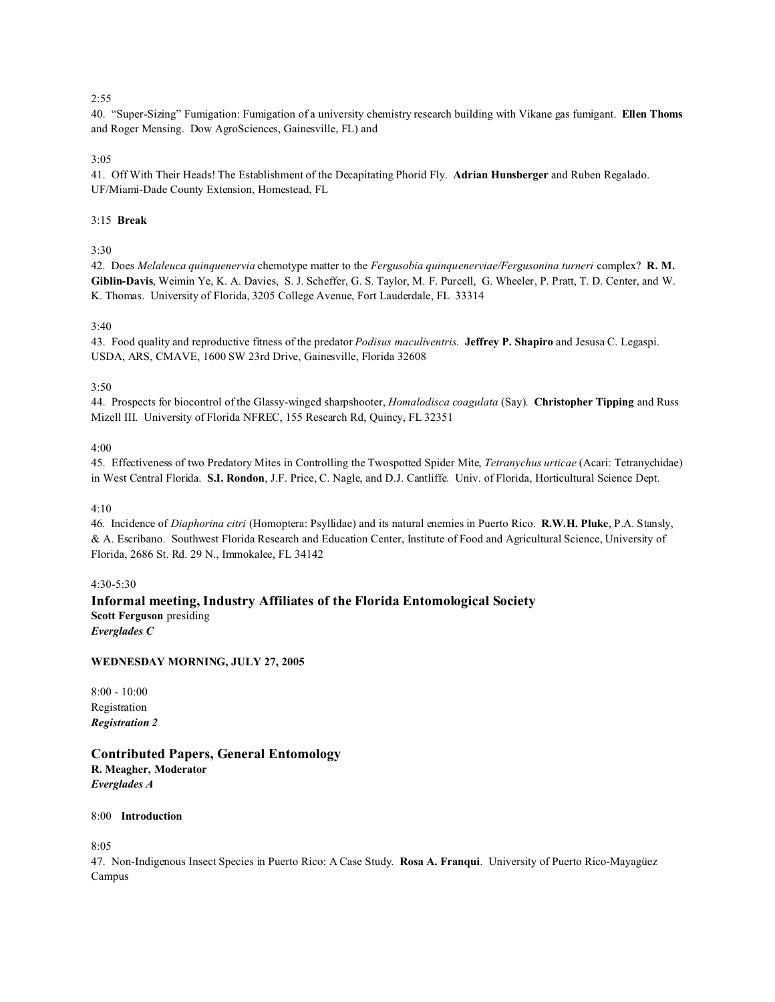40. "Super-Sizing" Fumigation: Fumigation of a university chemistry research building with Vikane gas fumigant. **Ellen Thoms** and Roger Mensing. Dow AgroSciences, Gainesville, FL) and

#### 3:05

41. Off With Their Heads! The Establishment of the Decapitating Phorid Fly. **Adrian Hunsberger** and Ruben Regalado. UF/Miami-Dade County Extension, Homestead, FL

#### 3:15 **Break**

### 3:30

42. Does *Melaleuca quinquenervia* chemotype matter to the *Fergusobia quinquenerviae/Fergusonina turneri* complex? **R. M. Giblin-Davis**, Weimin Ye, K. A. Davies, S. J. Scheffer, G. S. Taylor, M. F. Purcell, G. Wheeler, P. Pratt, T. D. Center, and W. K. Thomas. University of Florida, 3205 College Avenue, Fort Lauderdale, FL 33314

#### 3:40

43. Food quality and reproductive fitness of the predator *Podisus maculiventris*. **Jeffrey P. Shapiro** and Jesusa C. Legaspi. USDA, ARS, CMAVE, 1600 SW 23rd Drive, Gainesville, Florida 32608

#### 3:50

44. Prospects for biocontrol of the Glassy-winged sharpshooter, *Homalodisca coagulata* (Say). **Christopher Tipping** and Russ Mizell III. University of Florida NFREC, 155 Research Rd, Quincy, FL 32351

#### 4:00

45. Effectiveness of two Predatory Mites in Controlling the Twospotted Spider Mite, *Tetranychus urticae* (Acari: Tetranychidae) in West Central Florida. **S.I. Rondon**, J.F. Price, C. Nagle, and D.J. Cantliffe. Univ. of Florida, Horticultural Science Dept.

#### 4:10

46. Incidence of *Diaphorina citri* (Homoptera: Psyllidae) and its natural enemies in Puerto Rico. **R.W.H. Pluke**, P.A. Stansly, & A. Escribano. Southwest Florida Research and Education Center, Institute of Food and Agricultural Science, University of Florida, 2686 St. Rd. 29 N., Immokalee, FL 34142

#### 4:30-5:30

**Informal meeting, Industry Affiliates of the Florida Entomological Society Scott Ferguson** presiding *Everglades C*

#### **WEDNESDAY MORNING, JULY 27, 2005**

8:00 - 10:00 Registration *Registration 2*

**Contributed Papers, General Entomology R. Meagher, Moderator** *Everglades A*

8:00 **Introduction**

8:05

47. Non-Indigenous Insect Species in Puerto Rico: A Case Study. **Rosa A. Franqui**. University of Puerto Rico-Mayagüez Campus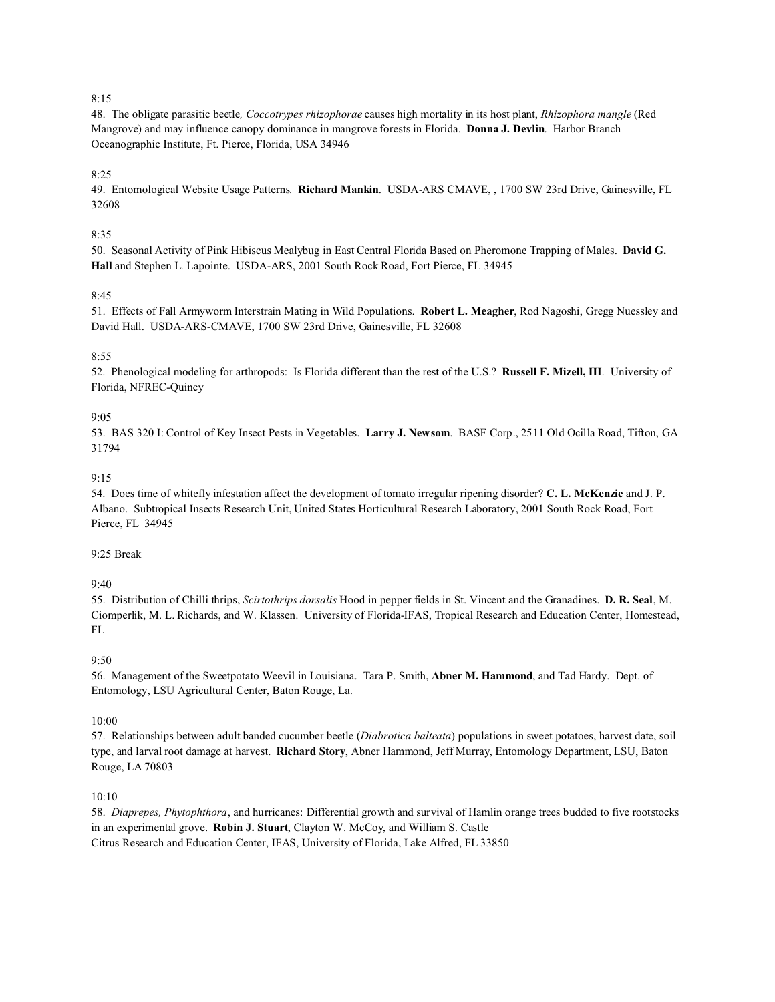48. The obligate parasitic beetle*, Coccotrypes rhizophorae* causes high mortality in its host plant, *Rhizophora mangle* (Red Mangrove) and may influence canopy dominance in mangrove forests in Florida. **Donna J. Devlin**. Harbor Branch Oceanographic Institute, Ft. Pierce, Florida, USA 34946

8:25

49. Entomological Website Usage Patterns. **Richard Mankin**. USDA-ARS CMAVE, , 1700 SW 23rd Drive, Gainesville, FL 32608

#### 8:35

50. Seasonal Activity of Pink Hibiscus Mealybug in East Central Florida Based on Pheromone Trapping of Males. **David G. Hall** and Stephen L. Lapointe. USDA-ARS, 2001 South Rock Road, Fort Pierce, FL 34945

#### 8:45

51. Effects of Fall Armyworm Interstrain Mating in Wild Populations. **Robert L. Meagher**, Rod Nagoshi, Gregg Nuessley and David Hall. USDA-ARS-CMAVE, 1700 SW 23rd Drive, Gainesville, FL 32608

#### 8:55

52. Phenological modeling for arthropods: Is Florida different than the rest of the U.S.? **Russell F. Mizell, III**. University of Florida, NFREC-Quincy

#### 9:05

53. BAS 320 I: Control of Key Insect Pests in Vegetables. **Larry J. Newsom**. BASF Corp., 2511 Old Ocilla Road, Tifton, GA 31794

#### 9:15

54. Does time of whitefly infestation affect the development of tomato irregular ripening disorder? **C. L. McKenzie** and J. P. Albano. Subtropical Insects Research Unit, United States Horticultural Research Laboratory, 2001 South Rock Road, Fort Pierce, FL 34945

#### 9:25 Break

#### 9:40

55. Distribution of Chilli thrips, *Scirtothrips dorsalis* Hood in pepper fields in St. Vincent and the Granadines. **D. R. Seal**, M. Ciomperlik, M. L. Richards, and W. Klassen. University of Florida-IFAS, Tropical Research and Education Center, Homestead, FL

#### 9:50

56. Management of the Sweetpotato Weevil in Louisiana. Tara P. Smith, **Abner M. Hammond**, and Tad Hardy. Dept. of Entomology, LSU Agricultural Center, Baton Rouge, La.

#### 10:00

57. Relationships between adult banded cucumber beetle (*Diabrotica balteata*) populations in sweet potatoes, harvest date, soil type, and larval root damage at harvest. **Richard Story**, Abner Hammond, Jeff Murray, Entomology Department, LSU, Baton Rouge, LA 70803

#### 10:10

58. *Diaprepes, Phytophthora*, and hurricanes: Differential growth and survival of Hamlin orange trees budded to five rootstocks in an experimental grove. **Robin J. Stuart**, Clayton W. McCoy, and William S. Castle Citrus Research and Education Center, IFAS, University of Florida, Lake Alfred, FL 33850